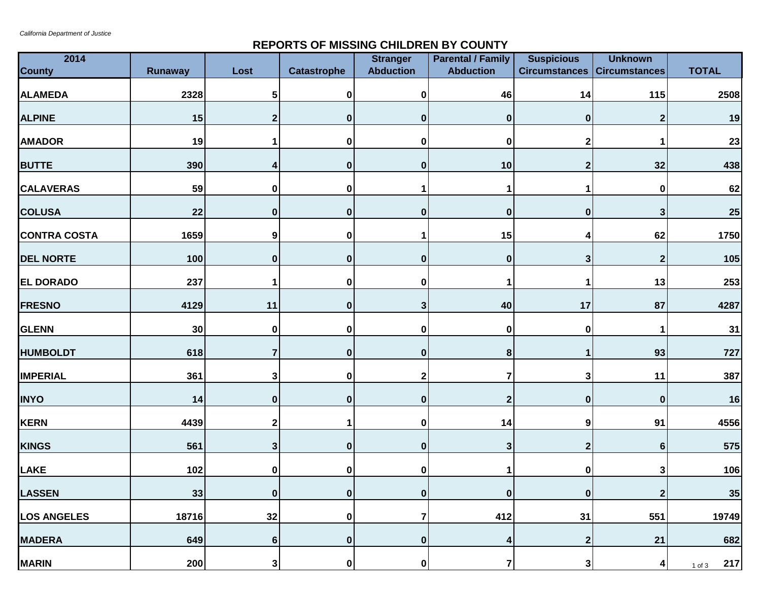## **REPORTS OF MISSING CHILDREN BY COUNTY**

| 2014                |                 |                  |                    | <b>Stranger</b>  | <b>Parental / Family</b> | <b>Suspicious</b>                  | <b>Unknown</b>  |                   |
|---------------------|-----------------|------------------|--------------------|------------------|--------------------------|------------------------------------|-----------------|-------------------|
| <b>County</b>       | <b>Runaway</b>  | Lost             | <b>Catastrophe</b> | <b>Abduction</b> | <b>Abduction</b>         | <b>Circumstances Circumstances</b> |                 | <b>TOTAL</b>      |
| <b>ALAMEDA</b>      | 2328            | 5                | 0                  | 0                | 46                       | 14                                 | 115             | 2508              |
| <b>ALPINE</b>       | 15              | $\mathbf 2$      | $\boldsymbol{0}$   | $\bf{0}$         | $\pmb{0}$                | $\bf{0}$                           | $\mathbf{2}$    | 19                |
| <b>AMADOR</b>       | 19              | 1                | $\pmb{0}$          | 0                | $\bf{0}$                 | 2                                  | 1               | 23                |
| <b>BUTTE</b>        | 390             | 4                | $\boldsymbol{0}$   | $\bf{0}$         | 10                       | 2                                  | 32              | 438               |
| <b>CALAVERAS</b>    | 59              | $\pmb{0}$        | $\mathbf 0$        |                  | -1                       |                                    | $\bf{0}$        | 62                |
| <b>COLUSA</b>       | 22              | $\bf{0}$         | $\pmb{0}$          | 0                | $\pmb{0}$                | 0                                  | 3               | <b>25</b>         |
| <b>CONTRA COSTA</b> | 1659            | $\boldsymbol{9}$ | $\pmb{0}$          |                  | 15                       |                                    | 62              | 1750              |
| <b>DEL NORTE</b>    | 100             | $\boldsymbol{0}$ | $\boldsymbol{0}$   | 0                | $\pmb{0}$                | 3                                  | $\mathbf{2}$    | 105               |
| <b>EL DORADO</b>    | 237             | 1                | $\pmb{0}$          | 0                | 1                        |                                    | 13              | 253               |
| <b>FRESNO</b>       | 4129            | 11               | $\pmb{0}$          | 3                | 40                       | 17                                 | 87              | 4287              |
| <b>GLENN</b>        | 30 <sub>o</sub> | $\pmb{0}$        | 0                  | 0                | $\pmb{0}$                | 0                                  | 1               | 31                |
| <b>HUMBOLDT</b>     | 618             | $\overline{7}$   | $\boldsymbol{0}$   | $\mathbf{0}$     | 8                        |                                    | 93              | 727               |
| <b>IMPERIAL</b>     | 361             | $\mathbf{3}$     | 0                  | 2                | 7                        | 3                                  | 11              | 387               |
| <b>INYO</b>         | 14              | $\bf{0}$         | $\pmb{0}$          | 0                | $\mathbf{2}$             | $\bf{0}$                           | $\bf{0}$        | 16                |
| <b>KERN</b>         | 4439            | $\mathbf 2$      | $\mathbf 1$        | 0                | 14                       | 9                                  | 91              | 4556              |
| <b>KINGS</b>        | 561             | $\mathbf{3}$     | 0                  | $\bf{0}$         | $\mathbf{3}$             | $\mathbf{2}$                       | 6               | 575               |
| <b>LAKE</b>         | 102             | $\pmb{0}$        | $\pmb{0}$          | 0                |                          |                                    | 3               | 106               |
| <b>LASSEN</b>       | 33              | $\mathbf{0}$     | $\boldsymbol{0}$   | $\bf{0}$         | $\boldsymbol{0}$         | $\bf{0}$                           | $\mathbf 2$     | 35                |
| <b>LOS ANGELES</b>  | 18716           | 32               | 0                  | $\overline{7}$   | 412                      | 31                                 | 551             | 19749             |
| <b>MADERA</b>       | 649             | $6\phantom{a}$   | $\boldsymbol{0}$   | $\mathbf{0}$     | 4                        | $\boldsymbol{2}$                   | 21              | 682               |
| <b>MARIN</b>        | 200             | $\mathbf{3}$     | 0                  | 0                | $\overline{7}$           | 3                                  | $\vert 4 \vert$ | 217<br>$1$ of $3$ |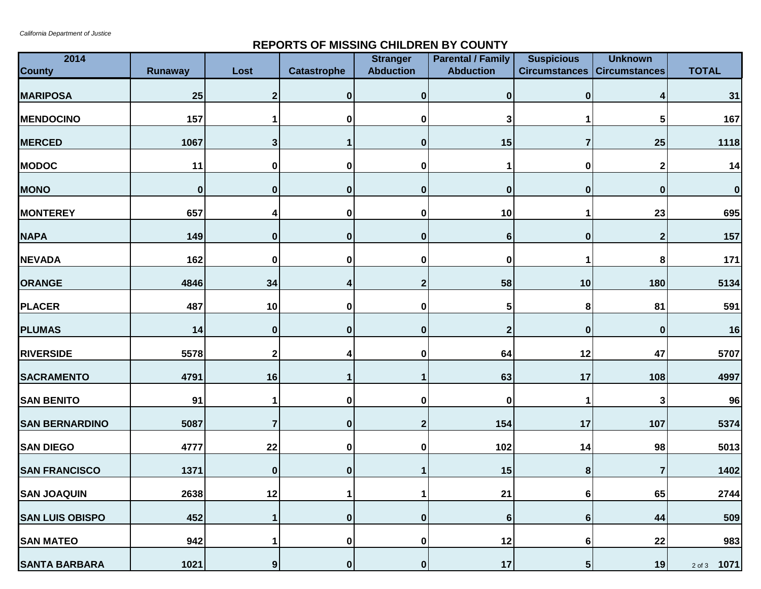## **REPORTS OF MISSING CHILDREN BY COUNTY**

| 2014<br><b>County</b>  | <b>Runaway</b> | Lost                    | <b>Catastrophe</b> | <b>Stranger</b><br><b>Abduction</b> | <b>Parental / Family</b><br><b>Abduction</b> | <b>Suspicious</b><br><b>Circumstances   Circumstances</b> | <b>Unknown</b> | <b>TOTAL</b>       |
|------------------------|----------------|-------------------------|--------------------|-------------------------------------|----------------------------------------------|-----------------------------------------------------------|----------------|--------------------|
| <b>MARIPOSA</b>        | 25             | 2                       | $\mathbf{0}$       | $\bf{0}$                            | $\bf{0}$                                     | $\bf{0}$                                                  | 4              | 31                 |
| <b>MENDOCINO</b>       | 157            |                         | $\boldsymbol{0}$   | 0                                   | 3                                            |                                                           | 5              | 167                |
| <b>MERCED</b>          | 1067           | 3                       | 1                  | $\bf{0}$                            | 15                                           |                                                           | 25             | 1118               |
| <b>MODOC</b>           | 11             | 0                       | $\pmb{0}$          | 0                                   |                                              | 0                                                         | $\mathbf{2}$   | 14                 |
| <b>MONO</b>            | $\bf{0}$       | $\boldsymbol{0}$        | 0                  | $\bf{0}$                            | $\bf{0}$                                     | $\bf{0}$                                                  | $\bf{0}$       | $\pmb{0}$          |
| <b>MONTEREY</b>        | 657            | 4                       | $\pmb{0}$          | 0                                   | 10                                           |                                                           | 23             | 695                |
| <b>NAPA</b>            | 149            | $\pmb{0}$               | 0                  | $\boldsymbol{0}$                    | 6                                            | $\boldsymbol{0}$                                          | $\mathbf{2}$   | 157                |
| <b>NEVADA</b>          | 162            | 0                       | $\bf{0}$           | 0                                   | 0                                            |                                                           | 8              | 171                |
| <b>ORANGE</b>          | 4846           | 34                      | 4                  | 2                                   | 58                                           | 10                                                        | 180            | 5134               |
| <b>PLACER</b>          | 487            | 10                      | $\bf{0}$           | 0                                   | 5                                            | 8                                                         | 81             | 591                |
| <b>PLUMAS</b>          | 14             | $\pmb{0}$               | $\bf{0}$           | $\bf{0}$                            | $\boldsymbol{2}$                             | $\boldsymbol{0}$                                          | $\bf{0}$       | 16                 |
| <b>RIVERSIDE</b>       | 5578           | $\mathbf 2$             | 4                  | 0                                   | 64                                           | 12                                                        | 47             | 5707               |
| <b>SACRAMENTO</b>      | 4791           | 16                      | 1                  |                                     | 63                                           | 17                                                        | 108            | 4997               |
| <b>SAN BENITO</b>      | 91             | 1                       | $\bf{0}$           | 0                                   | 0                                            |                                                           | 3              | 96                 |
| <b>SAN BERNARDINO</b>  | 5087           | $\overline{\mathbf{7}}$ | 0                  | $\boldsymbol{2}$                    | 154                                          | 17                                                        | 107            | 5374               |
| <b>SAN DIEGO</b>       | 4777           | 22                      | 0                  | 0                                   | 102                                          | 14                                                        | 98             | 5013               |
| <b>SAN FRANCISCO</b>   | 1371           | $\pmb{0}$               | 0                  |                                     | 15                                           | 8                                                         | 7              | 1402               |
| <b>SAN JOAQUIN</b>     | 2638           | 12                      | 1                  | 1                                   | 21                                           | 6                                                         | 65             | 2744               |
| <b>SAN LUIS OBISPO</b> | 452            | 1                       | 0                  | $\boldsymbol{0}$                    | $6\phantom{1}$                               | 6                                                         | 44             | 509                |
| <b>SAN MATEO</b>       | 942            | 1                       | $\boldsymbol{0}$   | 0                                   | 12                                           | 6                                                         | 22             | 983                |
| <b>SANTA BARBARA</b>   | 1021           | $\boldsymbol{9}$        | 0                  | $\pmb{0}$                           | 17                                           | 5                                                         | 19             | 1071<br>$2$ of $3$ |